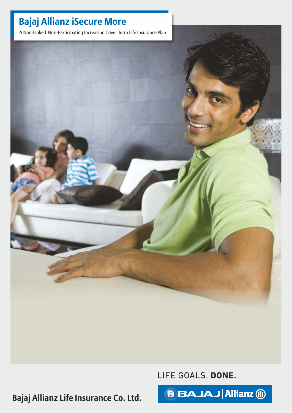A Non-Linked Non-Participating Increasing Cover Term Life Insurance Plan



LIFE GOALS. DONE.

**Bajaj Allianz Life Insurance Co. Ltd.**

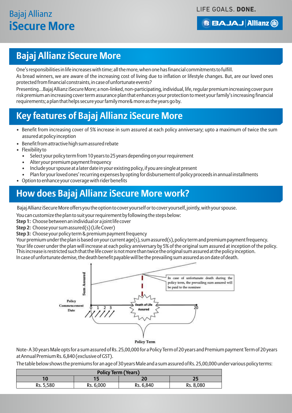LIFE GOALS. DONE.

### **BBAJAJ Allianz (ii)**

## **Bajaj Allianz iSecure More**

One's responsibilities in life increases with time; all the more, when one has financial commitments to fulfill.

As bread winners, we are aware of the increasing cost of living due to inflation or lifestyle changes. But, are our loved ones protected from financial constraints, in case of unfortunate events?

Presenting…Bajaj Allianz iSecure More; a non-linked, non-participating, individual, life, regular premium increasing cover pure risk premium an increasing cover term assurance plan that enhances your protection to meet your family's increasing financial requirements; a plan that helps secure your family more& more as the years go by.

## **Key features of Bajaj Allianz iSecure More**

- Benefit from increasing cover of 5% increase in sum assured at each policy anniversary; upto a maximum of twice the sum assured at policy inception
- Benefit from attractive high sum assured rebate
- Flexibility to
	- Select your policy term from 10 years to 25 years depending on your requirement
	- Alter your premium payment frequency
	- Include your spouse at a later date in your existing policy, if you are single at present
	- Plan for your loved ones' recurring expenses by opting for disbursement of policy proceeds in annual installments
- Option to enhance your coverage with rider benefits

## **How does Bajaj Allianz iSecure More work?**

Bajaj Allianz iSecure More offers you the option to cover yourself or to cover yourself, jointly, with your spouse.

You can customize the plan to suit your requirement by following the steps below:

**Step 1:** Choose between an individual or a joint life cover

**Step 2:** Choose your sum assured(s) (Life Cover)

**Step 3:** Choose your policy term & premium payment frequency

Your premium under the plan is based on your current age(s), sum assured(s), policy term and premium payment frequency. Your life cover under the plan will increase at each policy anniversary by 5% of the original sum assured at inception of the policy. This increase is restricted such that the life cover is not more than twice the original sum assured at the policy inception. In case of unfortunate demise, the death benefit payable will be the prevailing sum assured as on date of death.



Note- A 30 years Male opts for a sum assured of Rs. 25,00,000 for a Policy Term of 20 years and Premium payment Term of 20 years at Annual Premium Rs. 6,840 (exclusive of GST).

The table below shows the premiums for an age of 30 years Male and a sum assured of Rs. 25,00,000 under various policy terms:

| <b>Policy Term (Years)</b> |           |           |           |  |
|----------------------------|-----------|-----------|-----------|--|
| 10                         |           | 20        |           |  |
| Rs. 5,580                  | Rs. 6,000 | Rs. 6,840 | Rs. 8,080 |  |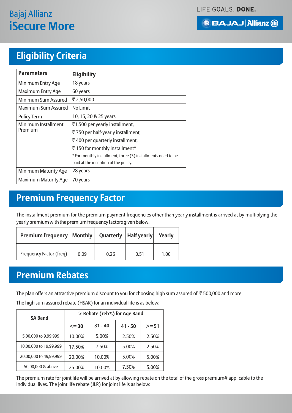LIFE GOALS. DONE.



## **Eligibility Criteria**

| <b>Parameters</b>           | <b>Eligibility</b>                                           |  |  |
|-----------------------------|--------------------------------------------------------------|--|--|
| Minimum Entry Age           | 18 years                                                     |  |  |
| Maximum Entry Age           | 60 years                                                     |  |  |
| Minimum Sum Assured         | ₹2,50,000                                                    |  |  |
| Maximum Sum Assured         | No Limit                                                     |  |  |
| Policy Term                 | 10, 15, 20 & 25 years                                        |  |  |
| <b>Minimum Installment</b>  | ₹1,500 per yearly installment,                               |  |  |
| Premium                     | ₹750 per half-yearly installment,                            |  |  |
|                             | ₹400 per quarterly installment,                              |  |  |
|                             | ₹150 for monthly installment*                                |  |  |
|                             | * For monthly installment, three (3) installments need to be |  |  |
|                             | paid at the inception of the policy.                         |  |  |
| <b>Minimum Maturity Age</b> | 28 years                                                     |  |  |
| <b>Maximum Maturity Age</b> | 70 years                                                     |  |  |

## **Premium Frequency Factor**

The installment premium for the premium payment frequencies other than yearly installment is arrived at by multiplying the yearly premium with the premium frequency factors given below.

| <b>Premium frequency   Monthly   Quarterly   Half yearly   Yearly</b> |      |      |      |      |
|-----------------------------------------------------------------------|------|------|------|------|
| Frequency Factor (freq)                                               | 0.09 | 0.26 | 0.51 | 1.00 |

## **Premium Rebates**

The plan offers an attractive premium discount to you for choosing high sum assured of  $\bar{\tau}$  500,000 and more.

The high sum assured rebate (HSAR) for an individual life is as below:

| <b>SA Band</b>         | % Rebate (reb%) for Age Band |           |           |         |
|------------------------|------------------------------|-----------|-----------|---------|
|                        | $\leq$ = 30                  | $31 - 40$ | $41 - 50$ | $>= 51$ |
| 5,00,000 to 9,99,999   | 10.00%                       | 5.00%     | 2.50%     | 2.50%   |
| 10,00,000 to 19,99,999 | 17.50%                       | 7.50%     | 5.00%     | 2.50%   |
| 20,00,000 to 49,99,999 | 20.00%                       | 10.00%    | 5.00%     | 5.00%   |
| 50,00,000 & above      | 25.00%                       | 10.00%    | 7.50%     | 5.00%   |

The premium rate for joint life will be arrived at by allowing rebate on the total of the gross premium# applicable to the individual lives. The joint life rebate (JLR) for joint life is as below: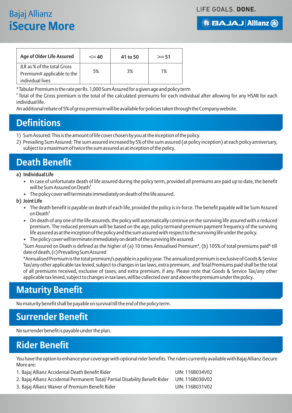#### LIFE GOALS. DONE.

# Bajaj Allianz **iSecure More**

|  | <b>BBAJAJ Allianz (ii)</b> |  |
|--|----------------------------|--|
|  |                            |  |

| <b>Age of Older Life Assured</b>                                 | $\leq$ 40 | 41 to 50 | $>= 51$ |
|------------------------------------------------------------------|-----------|----------|---------|
| <b>ILR as % of the total Gross</b><br>Premium# applicable to the | 5%        | 3%       | 1%      |
| individual lives                                                 |           |          |         |

\* Tabular Premium is the rate per Rs. 1,000 Sum Assured for a given age and policy term

# Total of the Gross premium is the total of the calculated premiums for each individual after allowing for any HSAR for each individual life.

An additional rebate of 5% of gross premium will be available for policies taken through the Company website.

## **Definitions**

- 1) Sum Assured: This is the amount of life cover chosen by you at the inception of the policy.
- 2) Prevailing Sum Assured: The sum assured increased by 5% of the sum assured (at policy inception) at each policy anniversary, subject to a maximum of twice the sum assured as at inception of the policy.

## **Death Benefit**

#### **a) Individual Life**

- In case of unfortunate death of life assured during the policy term, provided all premiums are paid up to date, the benefit will be Sum Assured on Death<sup>\$</sup>
- The policy cover will terminate immediately on death of the life assured.

### **b) Joint Life**

- The death benefit is payable on death of each life, provided the policy is in-force. The benefit payable will be Sum Assured on Death<sup>s</sup>
- On death of any one of the life assureds, the policy will automatically continue on the surviving life assured with a reduced premium. The reduced premium will be based on the age, policy termand premium payment frequency of the surviving life assured as at the inception of the policy and the sum assured with respect to the surviving life under the policy.
- The policy cover will terminate immediately on death of the surviving life assured.

\$ Sum Assured on Death is defined as the higher of (a) 10 times Annualised Premium\*, (b) 105% of total premiums paid\* till date of death, (c) Prevailing Sum Assured

\*Annualised Premium is the total premium/s payable in a policy year. The annualized premium is exclusive of Goods & Service Tax/any other applicable tax levied, subject to changes in tax laws, extra premium, and Total Premiums paid shall be the total of all premiums received, exclusive of taxes, and extra premium, if any. Please note that Goods & Service Tax/any other applicable tax levied, subject to changes in tax laws, will be collected over and above the premium under the policy.

## **Maturity Benefit**

No maturity benefit shall be payable on survival till the end of the policy term.

## **Surrender Benefit**

No surrender benefit is payable under the plan.

## **Rider Benefit**

You have the option to enhance your coverage with optional rider benefits. The riders currently available with Bajaj Allianz iSecure More are:

1. Bajaj Allianz Accidental Death Benefit Rider United States UIN: 116B034V02 2. Bajaj Allianz Accidental Permanent Total/ Partial Disability Benefit Rider UIN: 116B036V02 3. Bajaj Allianz Waiver of Premium Benefit Rider United States Nully: 116B031V02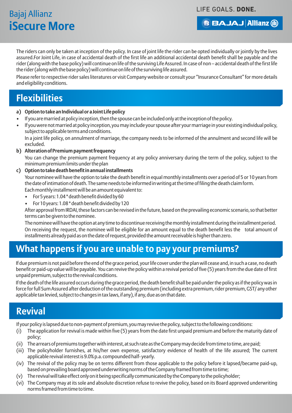#### LIFE GOALS. DONE.

### **BBAJAJ Allianz (ii)**

The riders can only be taken at inception of the policy. In case of joint life the rider can be opted individually or jointly by the lives assured.For Joint Life, in case of accidental death of the first life an additional accidental death benefit shall be payable and the rider (along with the base policy) will continue on life of the surviving Life Assured. In case of non – accidental death of the first life the rider (along with the base policy) will continue on life of the surviving life assured.

Please refer to respective rider sales literatures or visit Company website or consult your "Insurance Consultant" for more details and eligibility conditions.

## **Flexibilities**

- **a) Option to take an Individual or a Joint Life policy**
- If you are married at policy inception, then the spouse can be included only at the inception of the policy.
- If you were not married at policy inception, you may include your spouse after your marriage in your existing individual policy, subject to applicable terms and conditions.

In a joint life policy, on annulment of marriage, the company needs to be informed of the annulment and second life will be excluded.

#### **b) Alteration of Premium payment frequency**

You can change the premium payment frequency at any policy anniversary during the term of the policy, subject to the minimum premium limits under the plan

#### **c) Option to take death benefit in annual installments**

Your nominee will have the option to take the death benefit in equal monthly installments over a period of 5 or 10 years from the date of intimation of death. The same needs to be informed in writing at the time of filing the death claim form.

Each monthly installment will be an amount equivalent to:

- For 5 years: 1.04 \* death benefit divided by 60
- For 10 years: 1.08 \* death benefit divided by 120

After approval from IRDAI, these factors can be revised in the future, based on the prevailing economic scenario, so that better terms can be given to the nominee.

The nominee will have the option at any time to discontinue receiving the monthly installment during the installment period. On receiving the request, the nominee will be eligible for an amount equal to the death benefit less the total amount of installments already paid as on the date of request, provided the amount receivable is higher than zero.

## **What happens if you are unable to pay your premiums?**

If due premium is not paid before the end of the grace period, your life cover under the plan will cease and, in such a case, no death benefit or paid-up value will be payable. You can revive the policy within a revival period of five (5) years from the due date of first unpaid premium, subject to the revival conditions.

If the death of the life assured occurs during the grace period, the death benefit shall be paid under the policy as if the policy was in force for full Sum Assured after deduction of the outstanding premium (including extra premium, rider premium, GST/ any other applicable tax levied, subject to changes in tax laws, if any), if any, due as on that date.

## **Revival**

If your policy is lapsed due to non-payment of premium, you may revive the policy, subject to the following conditions:

- (i) The application for revival is made within five (5) years from the date first unpaid premium and before the maturity date of policy;
- (ii) The arrears of premiums together with interest, at such rate as the Company may decide from time to time, are paid;
- (iii) The policyholder furnishes, at his/her own expense, satisfactory evidence of health of the life assured; The current applicable revival interest is 9.0% p.a. compounded half- yearly.
- (iv) The revival of the policy may be on terms different from those applicable to the policy before it lapsed/became paid-up, based on prevailing board approved underwriting norms of the Company framed from time to time;
- (v) The revival will take effect only on it being specifically communicated by the Company to the policyholder;
- (vi) The Company may at its sole and absolute discretion refuse to revive the policy, based on its Board approved underwriting norms framed from time to time.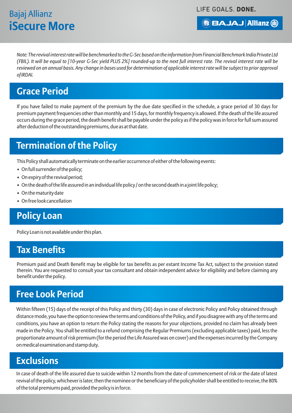LIFE GOALS. DONE.

**BBAJAJ Allianz @** 

*Note: The revival interest rate will be benchmarked to the G-Sec based on the information from Financial Benchmark India Private Ltd (FBIL). It will be equal to [10-year G-Sec yield PLUS 2%] rounded-up to the next full interest rate. The revival interest rate will be reviewed on an annual basis. Any change in bases used for determination of applicable interest rate will be subject to prior approval of IRDAI.*

## **Grace Period**

If you have failed to make payment of the premium by the due date specified in the schedule, a grace period of 30 days for premium payment frequencies other than monthly and 15 days, for monthly frequency is allowed. If the death of the life assured occurs during the grace period, the death benefit shall be payable under the policy as if the policy was in force for full sum assured after deduction of the outstanding premiums, due as at that date.

## **Termination of the Policy**

This Policy shall automatically terminate on the earlier occurrence of either of the following events:

- On full surrender of the policy;
- On expiry of the revival period;
- On the death of the life assured in an individual life policy / on the second death in a joint life policy;
- On the maturity date
- On free look cancellation

## **Policy Loan**

Policy Loan is not available under this plan.

## **Tax Benefits**

Premium paid and Death Benefit may be eligible for tax benefits as per extant Income Tax Act, subject to the provision stated therein. You are requested to consult your tax consultant and obtain independent advice for eligibility and before claiming any benefit under the policy.

## **Free Look Period**

Within fifteen (15) days of the receipt of this Policy and thirty (30) days in case of electronic Policy and Policy obtained through distance mode, you have the option to review the terms and conditions of the Policy, and if you disagree with any of the terms and conditions, you have an option to return the Policy stating the reasons for your objections, provided no claim has already been made in the Policy. You shall be entitled to a refund comprising the Regular Premiums (excluding applicable taxes) paid, less the proportionate amount of risk premium (for the period the Life Assured was on cover) and the expenses incurred by the Company on medical examination and stamp duty.

## **Exclusions**

In case of death of the life assured due to suicide within 12 months from the date of commencement of risk or the date of latest revival of the policy, whichever is later, then the nominee or the beneficiary of the policyholder shall be entitled to receive, the 80% of the total premiums paid, provided the policy is in force.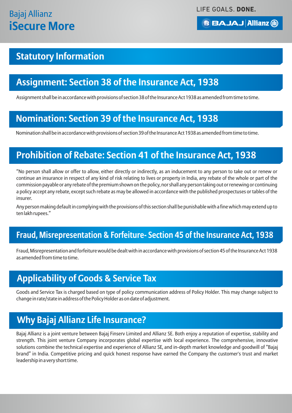LIFE GOALS. DONE.

### **BBAJAJ Allianz (ii)**

## **Statutory Information**

## **Assignment: Section 38 of the Insurance Act, 1938**

Assignment shall be in accordance with provisions of section 38 of the Insurance Act 1938 as amended from time to time.

## **Nomination: Section 39 of the Insurance Act, 1938**

Nomination shall be in accordance with provisions of section 39 of the Insurance Act 1938 as amended from time to time.

## **Prohibition of Rebate: Section 41 of the Insurance Act, 1938**

"No person shall allow or offer to allow, either directly or indirectly, as an inducement to any person to take out or renew or continue an insurance in respect of any kind of risk relating to lives or property in India, any rebate of the whole or part of the commission payable or any rebate of the premium shown on the policy, nor shall any person taking out or renewing or continuing a policy accept any rebate, except such rebate as may be allowed in accordance with the published prospectuses or tables of the insurer.

Any person making default in complying with the provisions of this section shall be punishable with a fine which may extend up to ten lakh rupees."

## **Fraud, Misrepresentation & Forfeiture- Section 45 of the Insurance Act, 1938**

Fraud, Misrepresentation and forfeiture would be dealt with in accordance with provisions of section 45 of the Insurance Act 1938 as amended from time to time.

## **Applicability of Goods & Service Tax**

Goods and Service Tax is charged based on type of policy communication address of Policy Holder. This may change subject to change in rate/state in address of the Policy Holder as on date of adjustment.

## **Why Bajaj Allianz Life Insurance?**

Bajaj Allianz is a joint venture between Bajaj Finserv Limited and Allianz SE. Both enjoy a reputation of expertise, stability and strength. This joint venture Company incorporates global expertise with local experience. The comprehensive, innovative solutions combine the technical expertise and experience of Allianz SE, and in-depth market knowledge and goodwill of "Bajaj brand" in India. Competitive pricing and quick honest response have earned the Company the customer's trust and market leadership in a very short time.